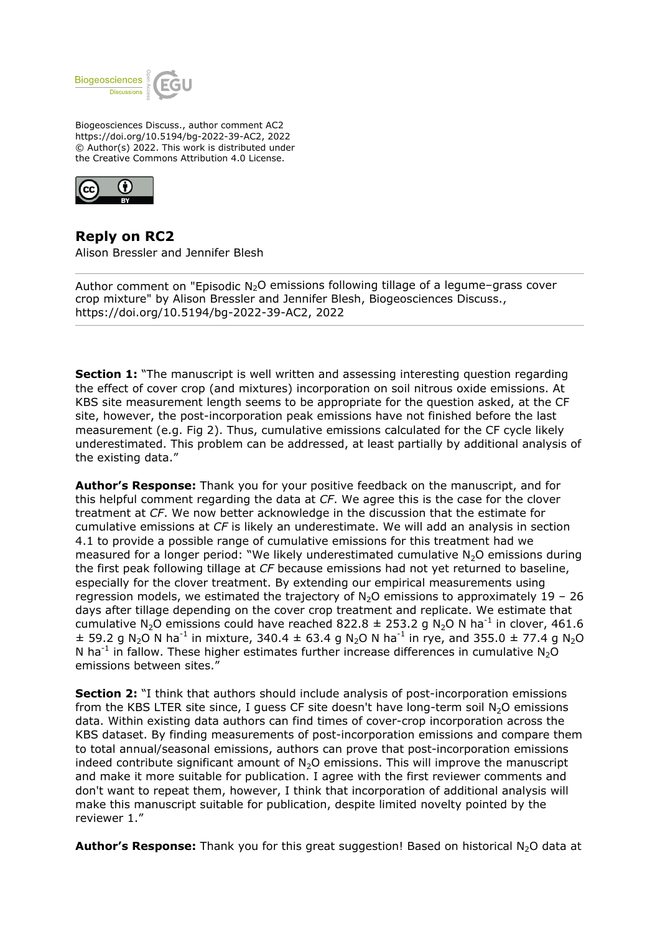

Biogeosciences Discuss., author comment AC2 https://doi.org/10.5194/bg-2022-39-AC2, 2022 © Author(s) 2022. This work is distributed under the Creative Commons Attribution 4.0 License.



**Reply on RC2** Alison Bressler and Jennifer Blesh

Author comment on "Episodic  $N_2O$  emissions following tillage of a legume–grass cover crop mixture" by Alison Bressler and Jennifer Blesh, Biogeosciences Discuss., https://doi.org/10.5194/bg-2022-39-AC2, 2022

**Section 1:** "The manuscript is well written and assessing interesting question regarding the effect of cover crop (and mixtures) incorporation on soil nitrous oxide emissions. At KBS site measurement length seems to be appropriate for the question asked, at the CF site, however, the post-incorporation peak emissions have not finished before the last measurement (e.g. Fig 2). Thus, cumulative emissions calculated for the CF cycle likely underestimated. This problem can be addressed, at least partially by additional analysis of the existing data."

**Author's Response:** Thank you for your positive feedback on the manuscript, and for this helpful comment regarding the data at *CF*. We agree this is the case for the clover treatment at *CF*. We now better acknowledge in the discussion that the estimate for cumulative emissions at *CF* is likely an underestimate. We will add an analysis in section 4.1 to provide a possible range of cumulative emissions for this treatment had we measured for a longer period: "We likely underestimated cumulative  $N_2O$  emissions during the first peak following tillage at *CF* because emissions had not yet returned to baseline, especially for the clover treatment. By extending our empirical measurements using regression models, we estimated the trajectory of  $N_2O$  emissions to approximately 19 - 26 days after tillage depending on the cover crop treatment and replicate. We estimate that cumulative N<sub>2</sub>O emissions could have reached 822.8  $\pm$  253.2 g N<sub>2</sub>O N ha<sup>-1</sup> in clover, 461.6  $\pm$  59.2 g N<sub>2</sub>O N ha<sup>-1</sup> in mixture, 340.4  $\pm$  63.4 g N<sub>2</sub>O N ha<sup>-1</sup> in rye, and 355.0  $\pm$  77.4 g N<sub>2</sub>O N ha<sup>-1</sup> in fallow. These higher estimates further increase differences in cumulative N<sub>2</sub>O emissions between sites."

**Section 2:** "I think that authors should include analysis of post-incorporation emissions from the KBS LTER site since, I quess CF site doesn't have long-term soil  $N_2O$  emissions data. Within existing data authors can find times of cover-crop incorporation across the KBS dataset. By finding measurements of post-incorporation emissions and compare them to total annual/seasonal emissions, authors can prove that post-incorporation emissions indeed contribute significant amount of  $N<sub>2</sub>O$  emissions. This will improve the manuscript and make it more suitable for publication. I agree with the first reviewer comments and don't want to repeat them, however, I think that incorporation of additional analysis will make this manuscript suitable for publication, despite limited novelty pointed by the reviewer 1."

**Author's Response:** Thank you for this great suggestion! Based on historical N<sub>2</sub>O data at